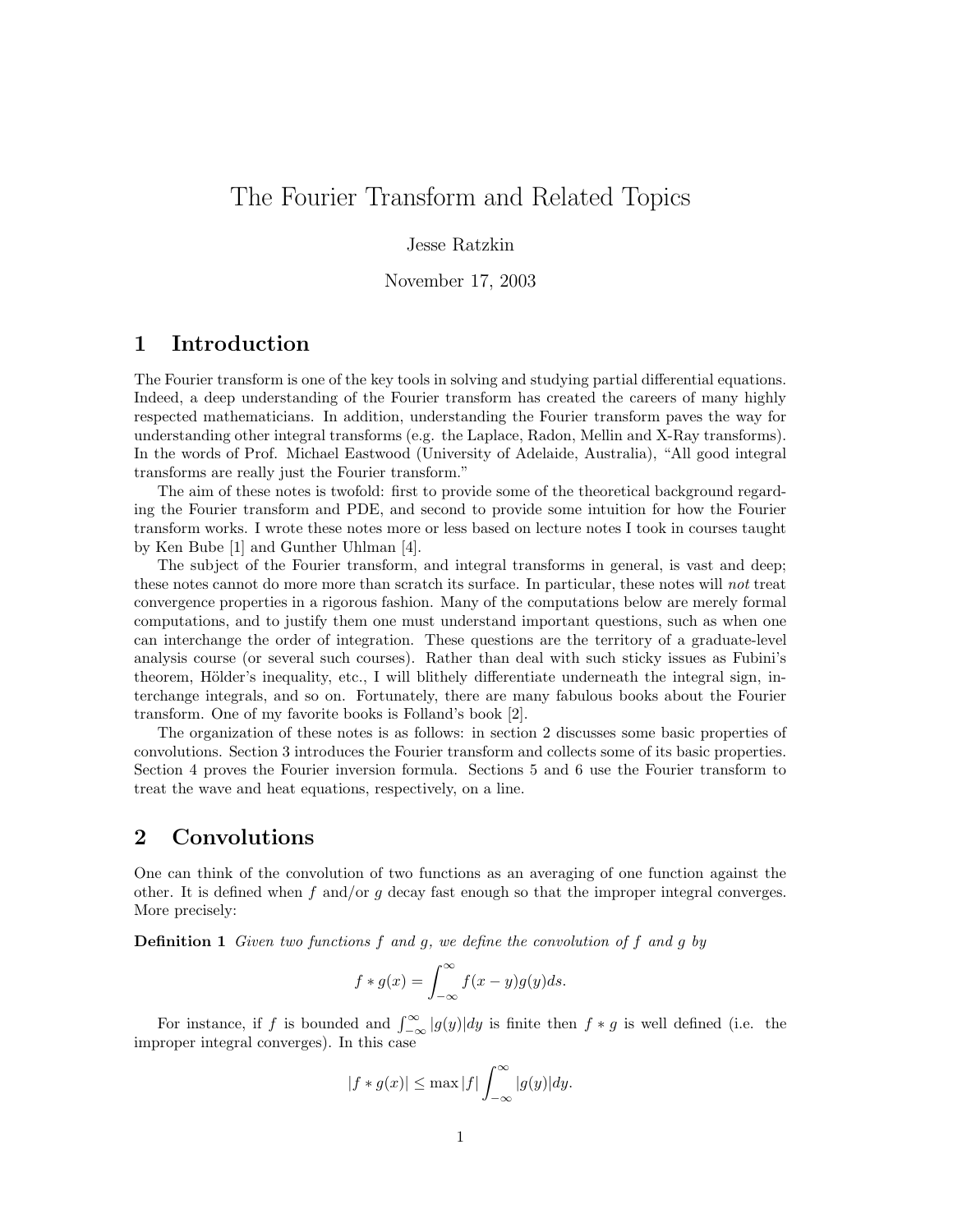# The Fourier Transform and Related Topics

### Jesse Ratzkin

November 17, 2003

## 1 Introduction

The Fourier transform is one of the key tools in solving and studying partial differential equations. Indeed, a deep understanding of the Fourier transform has created the careers of many highly respected mathematicians. In addition, understanding the Fourier transform paves the way for understanding other integral transforms (e.g. the Laplace, Radon, Mellin and X-Ray transforms). In the words of Prof. Michael Eastwood (University of Adelaide, Australia), "All good integral transforms are really just the Fourier transform."

The aim of these notes is twofold: first to provide some of the theoretical background regarding the Fourier transform and PDE, and second to provide some intuition for how the Fourier transform works. I wrote these notes more or less based on lecture notes I took in courses taught by Ken Bube [1] and Gunther Uhlman [4].

The subject of the Fourier transform, and integral transforms in general, is vast and deep; these notes cannot do more more than scratch its surface. In particular, these notes will not treat convergence properties in a rigorous fashion. Many of the computations below are merely formal computations, and to justify them one must understand important questions, such as when one can interchange the order of integration. These questions are the territory of a graduate-level analysis course (or several such courses). Rather than deal with such sticky issues as Fubini's theorem, Hölder's inequality, etc., I will blithely differentiate underneath the integral sign, interchange integrals, and so on. Fortunately, there are many fabulous books about the Fourier transform. One of my favorite books is Folland's book [2].

The organization of these notes is as follows: in section 2 discusses some basic properties of convolutions. Section 3 introduces the Fourier transform and collects some of its basic properties. Section 4 proves the Fourier inversion formula. Sections 5 and 6 use the Fourier transform to treat the wave and heat equations, respectively, on a line.

## 2 Convolutions

One can think of the convolution of two functions as an averaging of one function against the other. It is defined when f and/or q decay fast enough so that the improper integral converges. More precisely:

**Definition 1** Given two functions  $f$  and  $g$ , we define the convolution of  $f$  and  $g$  by

$$
f * g(x) = \int_{-\infty}^{\infty} f(x - y)g(y)ds.
$$

For instance, if f is bounded and  $\int_{-\infty}^{\infty} |g(y)| dy$  is finite then  $f * g$  is well defined (i.e. the improper integral converges). In this case

$$
|f * g(x)| \le \max |f| \int_{-\infty}^{\infty} |g(y)| dy.
$$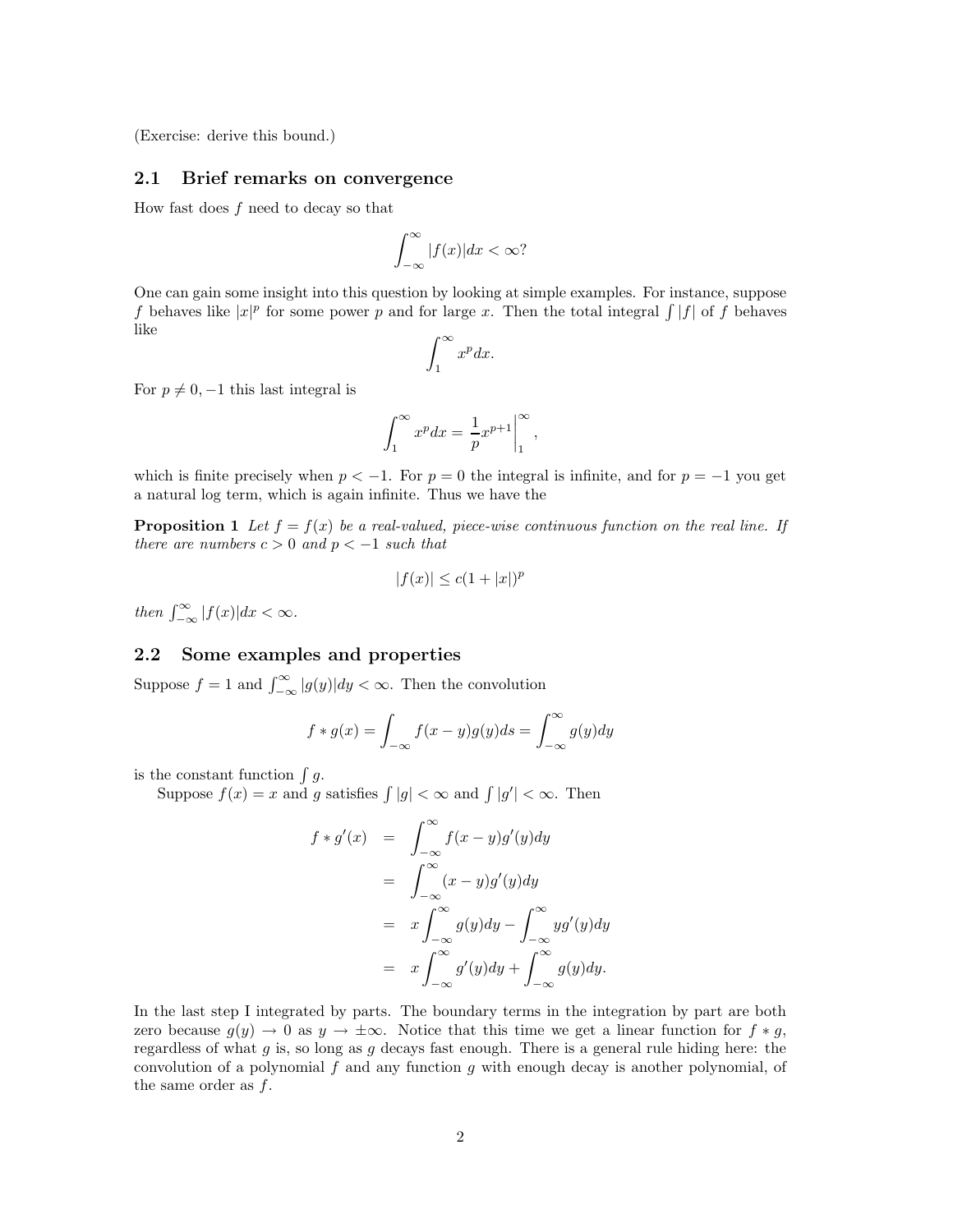(Exercise: derive this bound.)

### 2.1 Brief remarks on convergence

How fast does  $f$  need to decay so that

$$
\int_{-\infty}^{\infty} |f(x)| dx < \infty?
$$

One can gain some insight into this question by looking at simple examples. For instance, suppose f behaves like  $|x|^p$  for some power p and for large x. Then the total integral  $\int |f|$  of f behaves like

$$
\int_1^\infty x^p dx.
$$

For  $p \neq 0, -1$  this last integral is

$$
\int_1^\infty x^p dx = \left. \frac{1}{p} x^{p+1} \right|_1^\infty,
$$

which is finite precisely when  $p < -1$ . For  $p = 0$  the integral is infinite, and for  $p = -1$  you get a natural log term, which is again infinite. Thus we have the

**Proposition 1** Let  $f = f(x)$  be a real-valued, piece-wise continuous function on the real line. If there are numbers  $c > 0$  and  $p < -1$  such that

$$
|f(x)| \leq c(1+|x|)^p
$$

then  $\int_{-\infty}^{\infty} |f(x)| dx < \infty$ .

#### 2.2 Some examples and properties

Suppose  $f = 1$  and  $\int_{-\infty}^{\infty} |g(y)| dy < \infty$ . Then the convolution

$$
f * g(x) = \int_{-\infty}^{\infty} f(x - y)g(y)ds = \int_{-\infty}^{\infty} g(y)dy
$$

is the constant function  $\int g$ .

Suppose  $f(x) = x$  and g satisfies  $\int |g| < \infty$  and  $\int |g'| < \infty$ . Then

$$
f * g'(x) = \int_{-\infty}^{\infty} f(x - y)g'(y)dy
$$
  
= 
$$
\int_{-\infty}^{\infty} (x - y)g'(y)dy
$$
  
= 
$$
x \int_{-\infty}^{\infty} g(y)dy - \int_{-\infty}^{\infty} yg'(y)dy
$$
  
= 
$$
x \int_{-\infty}^{\infty} g'(y)dy + \int_{-\infty}^{\infty} g(y)dy.
$$

In the last step I integrated by parts. The boundary terms in the integration by part are both zero because  $q(y) \to 0$  as  $y \to \pm \infty$ . Notice that this time we get a linear function for  $f * q$ , regardless of what g is, so long as g decays fast enough. There is a general rule hiding here: the convolution of a polynomial  $f$  and any function  $g$  with enough decay is another polynomial, of the same order as  $f$ .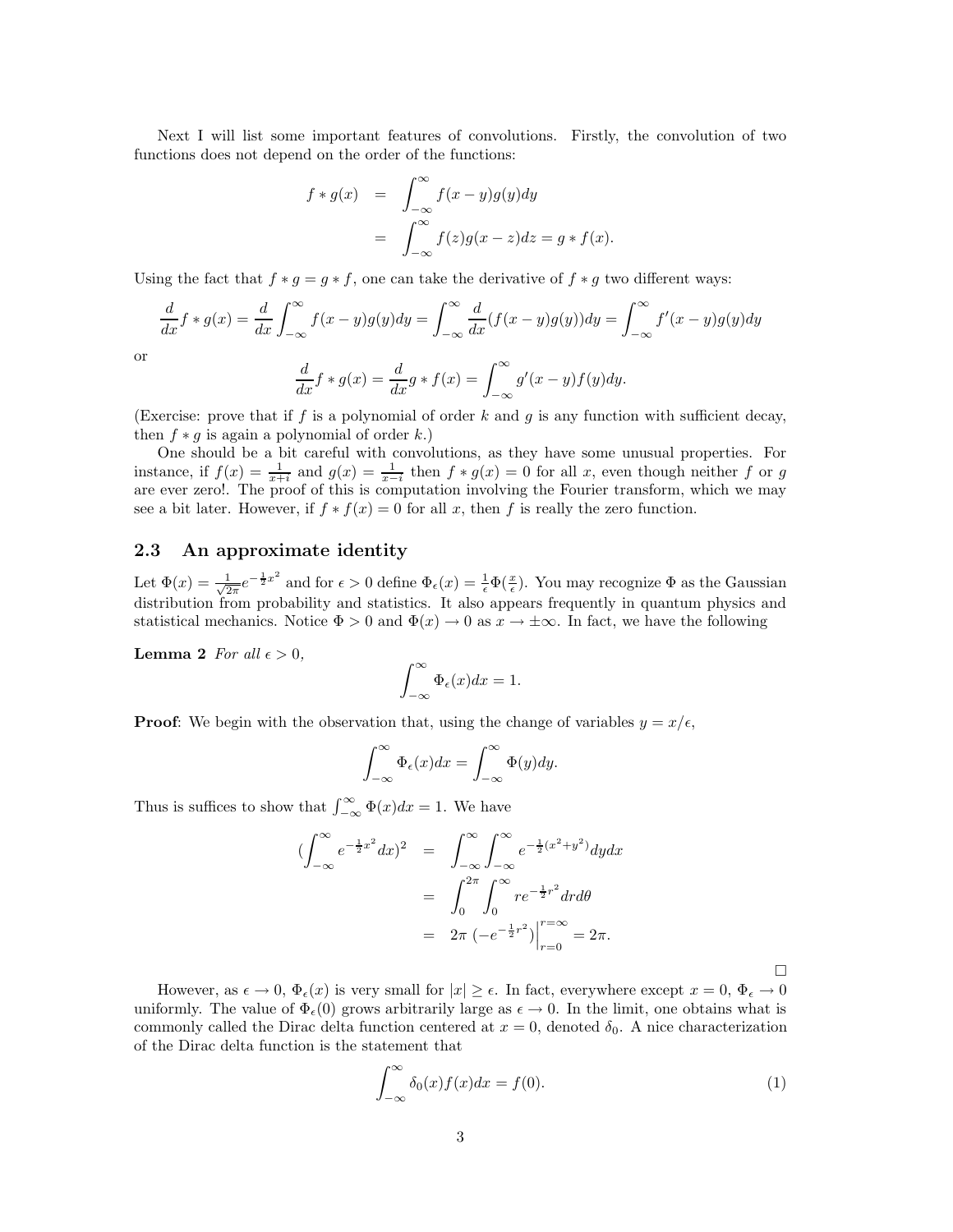Next I will list some important features of convolutions. Firstly, the convolution of two functions does not depend on the order of the functions:

$$
f * g(x) = \int_{-\infty}^{\infty} f(x - y)g(y)dy
$$
  
= 
$$
\int_{-\infty}^{\infty} f(z)g(x - z)dz = g * f(x).
$$

Using the fact that  $f * g = g * f$ , one can take the derivative of  $f * g$  two different ways:

$$
\frac{d}{dx}f * g(x) = \frac{d}{dx} \int_{-\infty}^{\infty} f(x - y)g(y)dy = \int_{-\infty}^{\infty} \frac{d}{dx}(f(x - y)g(y))dy = \int_{-\infty}^{\infty} f'(x - y)g(y)dy
$$

or

$$
\frac{d}{dx}f * g(x) = \frac{d}{dx}g * f(x) = \int_{-\infty}^{\infty} g'(x - y)f(y)dy.
$$

(Exercise: prove that if f is a polynomial of order k and g is any function with sufficient decay, then  $f * q$  is again a polynomial of order k.)

One should be a bit careful with convolutions, as they have some unusual properties. For instance, if  $f(x) = \frac{1}{x+i}$  and  $g(x) = \frac{1}{x-i}$  then  $f * g(x) = 0$  for all x, even though neither f or g are ever zero!. The proof of this is computation involving the Fourier transform, which we may see a bit later. However, if  $f * f(x) = 0$  for all x, then f is really the zero function.

### 2.3 An approximate identity

Let  $\Phi(x) = \frac{1}{\sqrt{2}}$  $\frac{1}{2\pi}e^{-\frac{1}{2}x^2}$  and for  $\epsilon > 0$  define  $\Phi_{\epsilon}(x) = \frac{1}{\epsilon} \Phi(\frac{x}{\epsilon})$ . You may recognize  $\Phi$  as the Gaussian distribution from probability and statistics. It also appears frequently in quantum physics and statistical mechanics. Notice  $\Phi > 0$  and  $\Phi(x) \to 0$  as  $x \to \pm \infty$ . In fact, we have the following

**Lemma 2** For all  $\epsilon > 0$ ,

$$
\int_{-\infty}^{\infty} \Phi_{\epsilon}(x) dx = 1.
$$

**Proof:** We begin with the observation that, using the change of variables  $y = x/\epsilon$ ,

$$
\int_{-\infty}^{\infty} \Phi_{\epsilon}(x) dx = \int_{-\infty}^{\infty} \Phi(y) dy.
$$

Thus is suffices to show that  $\int_{-\infty}^{\infty} \Phi(x) dx = 1$ . We have

$$
\begin{aligned}\n(\int_{-\infty}^{\infty} e^{-\frac{1}{2}x^2} dx)^2 &= \int_{-\infty}^{\infty} \int_{-\infty}^{\infty} e^{-\frac{1}{2}(x^2 + y^2)} dy dx \\
&= \int_{0}^{2\pi} \int_{0}^{\infty} r e^{-\frac{1}{2}r^2} dr d\theta \\
&= 2\pi \left( -e^{-\frac{1}{2}r^2} \right) \Big|_{r=0}^{r=\infty} = 2\pi.\n\end{aligned}
$$

However, as  $\epsilon \to 0$ ,  $\Phi_{\epsilon}(x)$  is very small for  $|x| \geq \epsilon$ . In fact, everywhere except  $x = 0$ ,  $\Phi_{\epsilon} \to 0$ uniformly. The value of  $\Phi_{\epsilon}(0)$  grows arbitrarily large as  $\epsilon \to 0$ . In the limit, one obtains what is commonly called the Dirac delta function centered at  $x = 0$ , denoted  $\delta_0$ . A nice characterization of the Dirac delta function is the statement that

$$
\int_{-\infty}^{\infty} \delta_0(x) f(x) dx = f(0). \tag{1}
$$

 $\Box$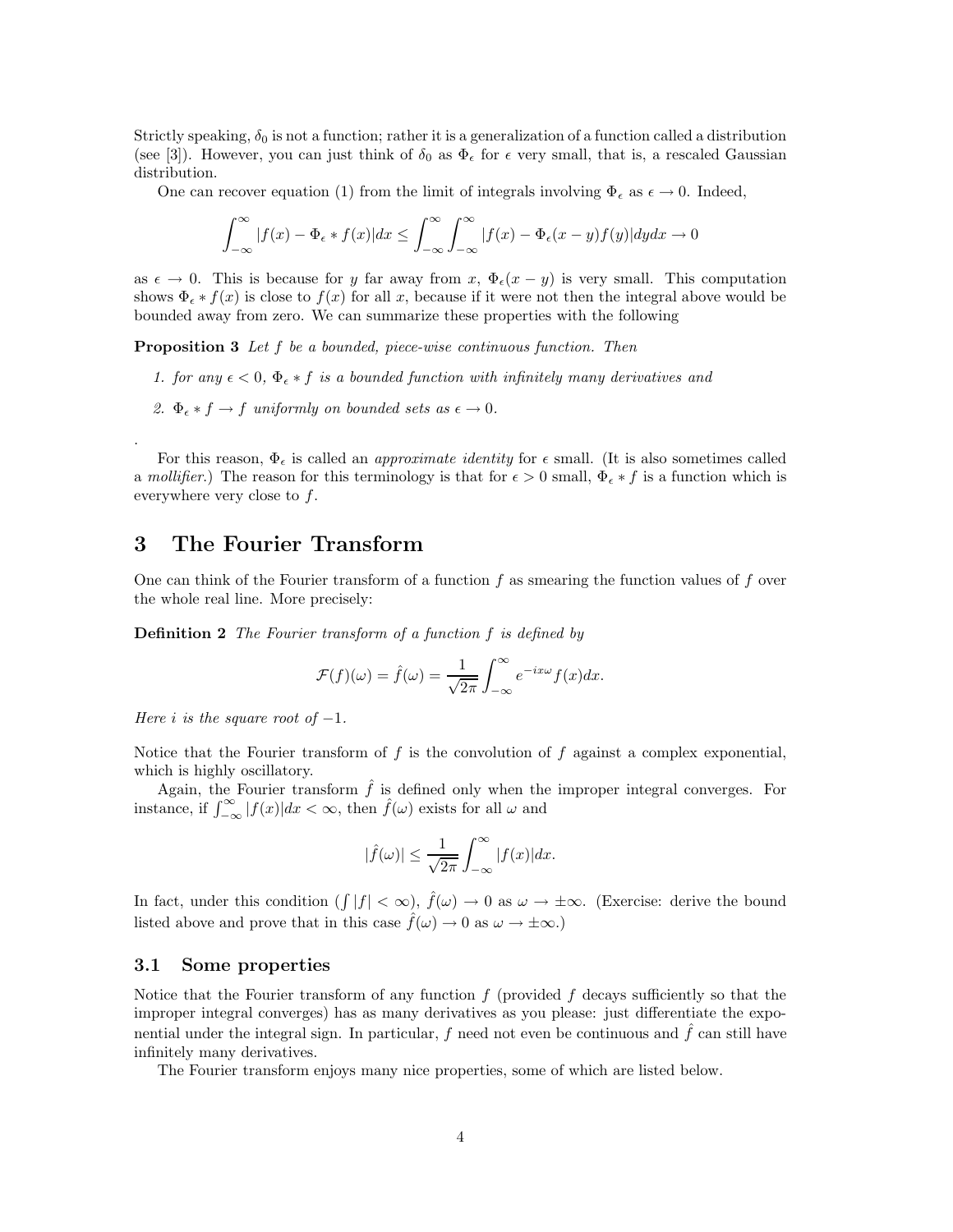Strictly speaking,  $\delta_0$  is not a function; rather it is a generalization of a function called a distribution (see [3]). However, you can just think of  $\delta_0$  as  $\Phi_{\epsilon}$  for  $\epsilon$  very small, that is, a rescaled Gaussian distribution.

One can recover equation (1) from the limit of integrals involving  $\Phi_{\epsilon}$  as  $\epsilon \to 0$ . Indeed,

$$
\int_{-\infty}^{\infty} |f(x) - \Phi_{\epsilon} * f(x)| dx \le \int_{-\infty}^{\infty} \int_{-\infty}^{\infty} |f(x) - \Phi_{\epsilon}(x - y)f(y)| dy dx \to 0
$$

as  $\epsilon \to 0$ . This is because for y far away from x,  $\Phi_{\epsilon}(x-y)$  is very small. This computation shows  $\Phi_{\epsilon}*f(x)$  is close to  $f(x)$  for all x, because if it were not then the integral above would be bounded away from zero. We can summarize these properties with the following

Proposition 3 Let f be a bounded, piece-wise continuous function. Then

- 1. for any  $\epsilon < 0$ ,  $\Phi_{\epsilon} * f$  is a bounded function with infinitely many derivatives and
- 2.  $\Phi_{\epsilon} * f \to f$  uniformly on bounded sets as  $\epsilon \to 0$ .

For this reason,  $\Phi_{\epsilon}$  is called an *approximate identity* for  $\epsilon$  small. (It is also sometimes called a mollifier.) The reason for this terminology is that for  $\epsilon > 0$  small,  $\Phi_{\epsilon} * f$  is a function which is everywhere very close to f.

### 3 The Fourier Transform

One can think of the Fourier transform of a function  $f$  as smearing the function values of  $f$  over the whole real line. More precisely:

Definition 2 The Fourier transform of a function f is defined by

$$
\mathcal{F}(f)(\omega) = \hat{f}(\omega) = \frac{1}{\sqrt{2\pi}} \int_{-\infty}^{\infty} e^{-ix\omega} f(x) dx.
$$

Here i is the square root of  $-1$ .

.

Notice that the Fourier transform of  $f$  is the convolution of  $f$  against a complex exponential, which is highly oscillatory.

Again, the Fourier transform  $\hat{f}$  is defined only when the improper integral converges. For instance, if  $\int_{-\infty}^{\infty} |f(x)|dx < \infty$ , then  $\hat{f}(\omega)$  exists for all  $\omega$  and

$$
|\widehat{f}(\omega)| \le \frac{1}{\sqrt{2\pi}} \int_{-\infty}^{\infty} |f(x)| dx.
$$

In fact, under this condition  $(\int |f| < \infty)$ ,  $\hat{f}(\omega) \to 0$  as  $\omega \to \pm \infty$ . (Exercise: derive the bound listed above and prove that in this case  $\hat{f}(\omega) \to 0$  as  $\omega \to \pm \infty$ .)

#### 3.1 Some properties

Notice that the Fourier transform of any function  $f$  (provided  $f$  decays sufficiently so that the improper integral converges) has as many derivatives as you please: just differentiate the exponential under the integral sign. In particular,  $f$  need not even be continuous and  $f$  can still have infinitely many derivatives.

The Fourier transform enjoys many nice properties, some of which are listed below.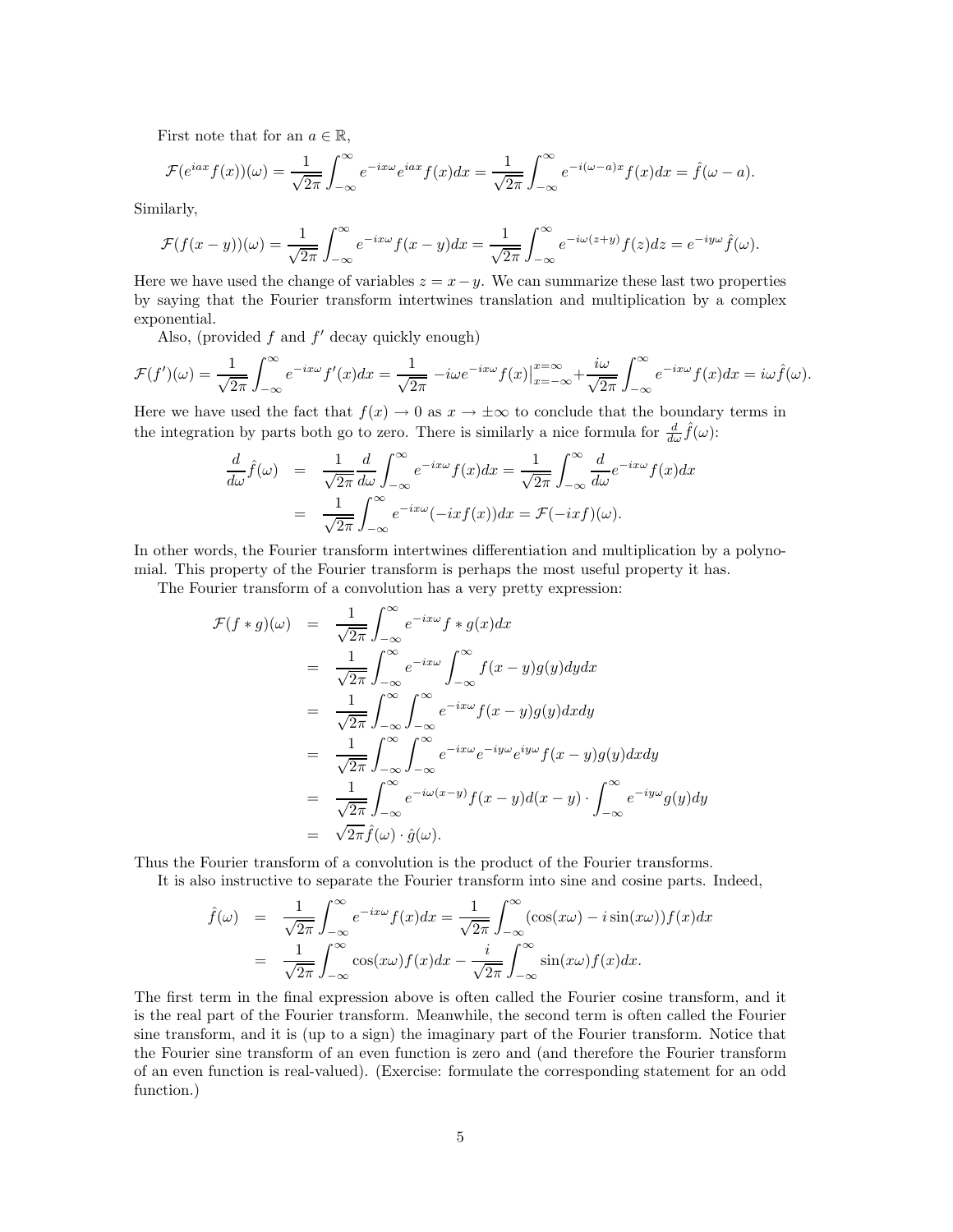First note that for an  $a \in \mathbb{R}$ ,

$$
\mathcal{F}(e^{iax}f(x))(\omega) = \frac{1}{\sqrt{2\pi}} \int_{-\infty}^{\infty} e^{-ix\omega} e^{iax} f(x) dx = \frac{1}{\sqrt{2\pi}} \int_{-\infty}^{\infty} e^{-i(\omega - a)x} f(x) dx = \hat{f}(\omega - a).
$$

Similarly,

$$
\mathcal{F}(f(x-y))(\omega) = \frac{1}{\sqrt{2\pi}} \int_{-\infty}^{\infty} e^{-ix\omega} f(x-y) dx = \frac{1}{\sqrt{2\pi}} \int_{-\infty}^{\infty} e^{-i\omega(z+y)} f(z) dz = e^{-iy\omega} \hat{f}(\omega).
$$

Here we have used the change of variables  $z = x - y$ . We can summarize these last two properties by saying that the Fourier transform intertwines translation and multiplication by a complex exponential.

Also, (provided  $f$  and  $f'$  decay quickly enough)

$$
\mathcal{F}(f')(\omega) = \frac{1}{\sqrt{2\pi}} \int_{-\infty}^{\infty} e^{-ix\omega} f'(x) dx = \frac{1}{\sqrt{2\pi}} - i\omega e^{-ix\omega} f(x) \Big|_{x=-\infty}^{x=\infty} + \frac{i\omega}{\sqrt{2\pi}} \int_{-\infty}^{\infty} e^{-ix\omega} f(x) dx = i\omega \hat{f}(\omega).
$$

Here we have used the fact that  $f(x) \to 0$  as  $x \to \pm \infty$  to conclude that the boundary terms in the integration by parts both go to zero. There is similarly a nice formula for  $\frac{d}{d\omega}\hat{f}(\omega)$ :

$$
\frac{d}{d\omega}\hat{f}(\omega) = \frac{1}{\sqrt{2\pi}}\frac{d}{d\omega}\int_{-\infty}^{\infty}e^{-ix\omega}f(x)dx = \frac{1}{\sqrt{2\pi}}\int_{-\infty}^{\infty}\frac{d}{d\omega}e^{-ix\omega}f(x)dx
$$

$$
= \frac{1}{\sqrt{2\pi}}\int_{-\infty}^{\infty}e^{-ix\omega}(-ixf(x))dx = \mathcal{F}(-ixf)(\omega).
$$

In other words, the Fourier transform intertwines differentiation and multiplication by a polynomial. This property of the Fourier transform is perhaps the most useful property it has.

The Fourier transform of a convolution has a very pretty expression:

$$
\mathcal{F}(f * g)(\omega) = \frac{1}{\sqrt{2\pi}} \int_{-\infty}^{\infty} e^{-ix\omega} f * g(x) dx
$$
  
\n
$$
= \frac{1}{\sqrt{2\pi}} \int_{-\infty}^{\infty} e^{-ix\omega} \int_{-\infty}^{\infty} f(x - y)g(y) dy dx
$$
  
\n
$$
= \frac{1}{\sqrt{2\pi}} \int_{-\infty}^{\infty} \int_{-\infty}^{\infty} e^{-ix\omega} f(x - y)g(y) dx dy
$$
  
\n
$$
= \frac{1}{\sqrt{2\pi}} \int_{-\infty}^{\infty} \int_{-\infty}^{\infty} e^{-ix\omega} e^{-iy\omega} e^{iy\omega} f(x - y)g(y) dx dy
$$
  
\n
$$
= \frac{1}{\sqrt{2\pi}} \int_{-\infty}^{\infty} e^{-i\omega(x - y)} f(x - y) d(x - y) \cdot \int_{-\infty}^{\infty} e^{-iy\omega} g(y) dy
$$
  
\n
$$
= \sqrt{2\pi} \hat{f}(\omega) \cdot \hat{g}(\omega).
$$

Thus the Fourier transform of a convolution is the product of the Fourier transforms.

It is also instructive to separate the Fourier transform into sine and cosine parts. Indeed,

$$
\hat{f}(\omega) = \frac{1}{\sqrt{2\pi}} \int_{-\infty}^{\infty} e^{-ix\omega} f(x) dx = \frac{1}{\sqrt{2\pi}} \int_{-\infty}^{\infty} (\cos(x\omega) - i \sin(x\omega)) f(x) dx
$$

$$
= \frac{1}{\sqrt{2\pi}} \int_{-\infty}^{\infty} \cos(x\omega) f(x) dx - \frac{i}{\sqrt{2\pi}} \int_{-\infty}^{\infty} \sin(x\omega) f(x) dx.
$$

The first term in the final expression above is often called the Fourier cosine transform, and it is the real part of the Fourier transform. Meanwhile, the second term is often called the Fourier sine transform, and it is (up to a sign) the imaginary part of the Fourier transform. Notice that the Fourier sine transform of an even function is zero and (and therefore the Fourier transform of an even function is real-valued). (Exercise: formulate the corresponding statement for an odd function.)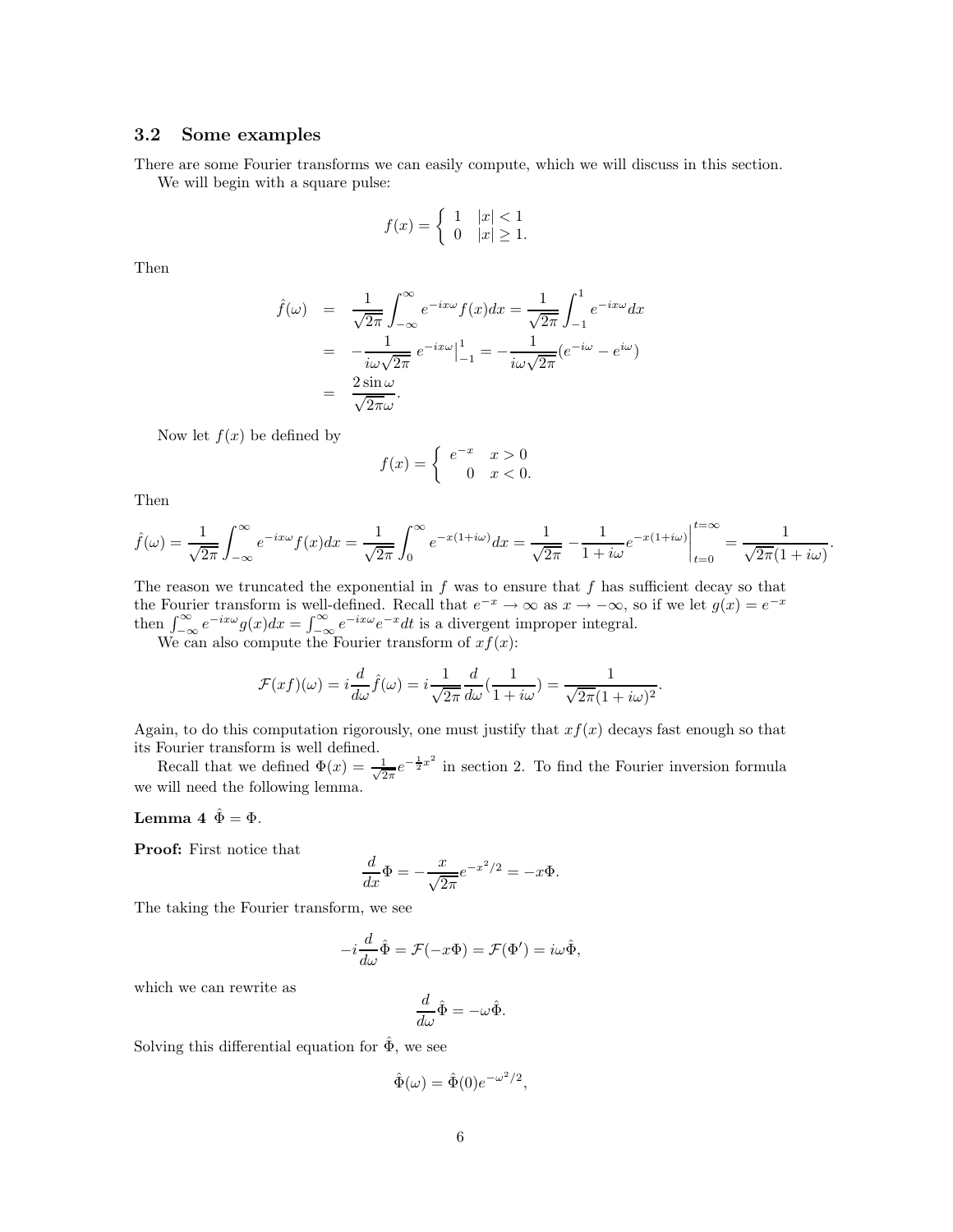#### 3.2 Some examples

There are some Fourier transforms we can easily compute, which we will discuss in this section. We will begin with a square pulse:

$$
f(x) = \begin{cases} 1 & |x| < 1 \\ 0 & |x| \ge 1. \end{cases}
$$

Then

$$
\hat{f}(\omega) = \frac{1}{\sqrt{2\pi}} \int_{-\infty}^{\infty} e^{-ix\omega} f(x) dx = \frac{1}{\sqrt{2\pi}} \int_{-1}^{1} e^{-ix\omega} dx
$$

$$
= -\frac{1}{i\omega\sqrt{2\pi}} e^{-ix\omega} \Big|_{-1}^{1} = -\frac{1}{i\omega\sqrt{2\pi}} (e^{-i\omega} - e^{i\omega})
$$

$$
= \frac{2 \sin \omega}{\sqrt{2\pi} \omega}.
$$

Now let  $f(x)$  be defined by

$$
f(x) = \begin{cases} e^{-x} & x > 0 \\ 0 & x < 0. \end{cases}
$$

Then

$$
\hat{f}(\omega) = \frac{1}{\sqrt{2\pi}} \int_{-\infty}^{\infty} e^{-ix\omega} f(x) dx = \frac{1}{\sqrt{2\pi}} \int_{0}^{\infty} e^{-x(1+i\omega)} dx = \frac{1}{\sqrt{2\pi}} - \frac{1}{1+i\omega} e^{-x(1+i\omega)} \Big|_{t=0}^{t=\infty} = \frac{1}{\sqrt{2\pi}(1+i\omega)}.
$$

The reason we truncated the exponential in  $f$  was to ensure that  $f$  has sufficient decay so that the Fourier transform is well-defined. Recall that  $e^{-x} \to \infty$  as  $x \to -\infty$ , so if we let  $g(x) = e^{-x}$ then  $\int_{-\infty}^{\infty} e^{-ix\omega} g(x) dx = \int_{-\infty}^{\infty} e^{-ix\omega} e^{-x} dt$  is a divergent improper integral.

We can also compute the Fourier transform of  $xf(x)$ :

$$
\mathcal{F}(xf)(\omega) = i\frac{d}{d\omega}\hat{f}(\omega) = i\frac{1}{\sqrt{2\pi}}\frac{d}{d\omega}\left(\frac{1}{1+i\omega}\right) = \frac{1}{\sqrt{2\pi}(1+i\omega)^2}.
$$

Again, to do this computation rigorously, one must justify that  $xf(x)$  decays fast enough so that its Fourier transform is well defined.

Recall that we defined  $\Phi(x) = \frac{1}{\sqrt{2}}$  $\frac{1}{2\pi}e^{-\frac{1}{2}x^2}$  in section 2. To find the Fourier inversion formula we will need the following lemma.

#### Lemma 4  $\hat{\Phi} = \Phi$ .

Proof: First notice that

$$
\frac{d}{dx}\Phi = -\frac{x}{\sqrt{2\pi}}e^{-x^2/2} = -x\Phi.
$$

The taking the Fourier transform, we see

$$
-i\frac{d}{d\omega}\hat{\Phi} = \mathcal{F}(-x\Phi) = \mathcal{F}(\Phi') = i\omega\hat{\Phi},
$$

which we can rewrite as

$$
\frac{d}{d\omega}\hat{\Phi} = -\omega\hat{\Phi}.
$$

Solving this differential equation for  $\hat{\Phi}$ , we see

$$
\hat{\Phi}(\omega) = \hat{\Phi}(0)e^{-\omega^2/2},
$$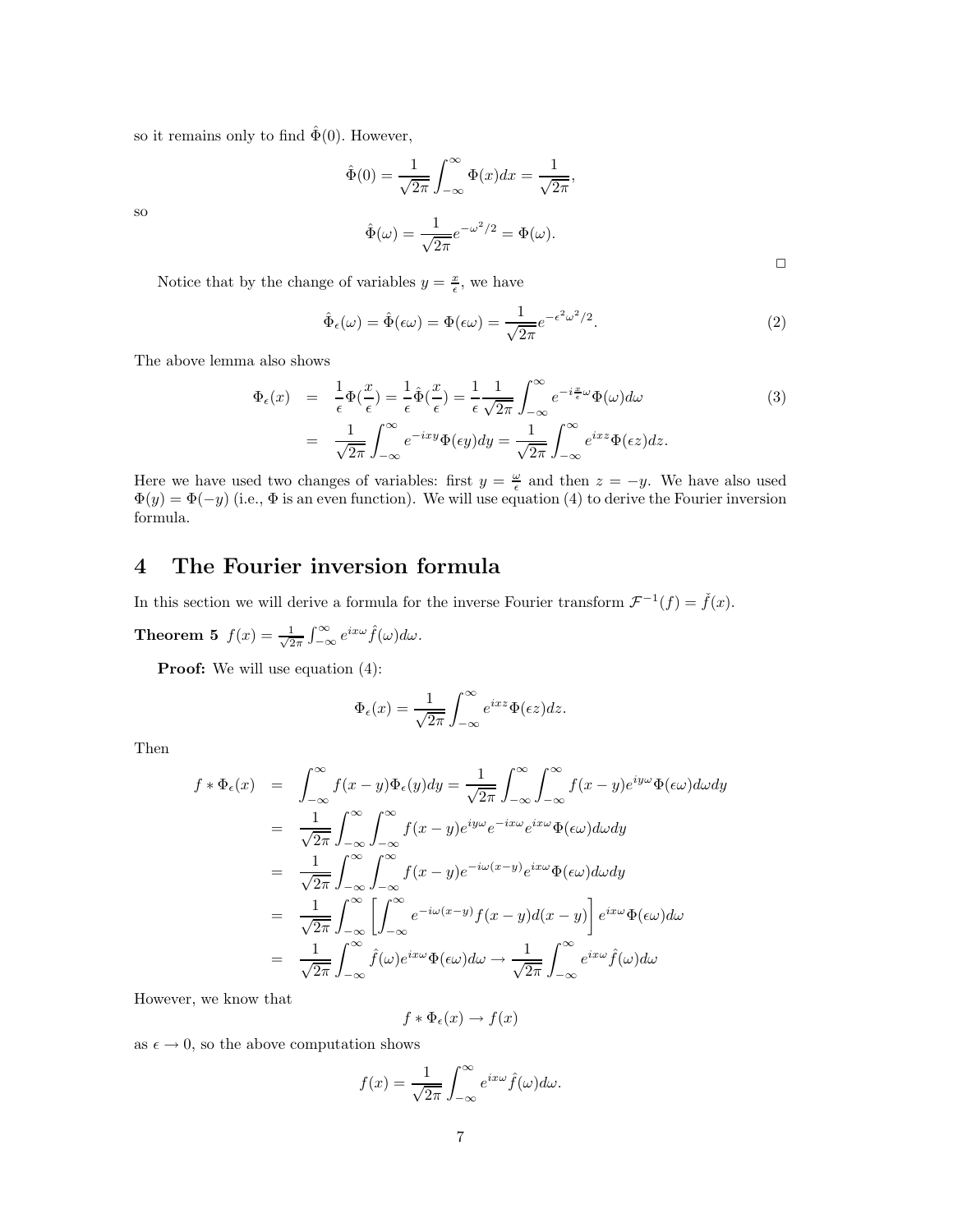so it remains only to find  $\hat{\Phi}(0)$ . However,

$$
\hat{\Phi}(0) = \frac{1}{\sqrt{2\pi}} \int_{-\infty}^{\infty} \Phi(x) dx = \frac{1}{\sqrt{2\pi}},
$$
  

$$
\hat{\Phi}(\omega) = \frac{1}{\sqrt{2\pi}} e^{-\omega^2/2} = \Phi(\omega).
$$

Notice that by the change of variables  $y = \frac{x}{\epsilon}$ , we have

$$
\hat{\Phi}_{\epsilon}(\omega) = \hat{\Phi}(\epsilon \omega) = \Phi(\epsilon \omega) = \frac{1}{\sqrt{2\pi}} e^{-\epsilon^2 \omega^2/2}.
$$
\n(2)

The above lemma also shows

$$
\Phi_{\epsilon}(x) = \frac{1}{\epsilon} \Phi(\frac{x}{\epsilon}) = \frac{1}{\epsilon} \hat{\Phi}(\frac{x}{\epsilon}) = \frac{1}{\epsilon} \frac{1}{\sqrt{2\pi}} \int_{-\infty}^{\infty} e^{-i\frac{x}{\epsilon}\omega} \Phi(\omega) d\omega
$$
\n
$$
= \frac{1}{\sqrt{2\pi}} \int_{-\infty}^{\infty} e^{-ixy} \Phi(\epsilon y) dy = \frac{1}{\sqrt{2\pi}} \int_{-\infty}^{\infty} e^{ixz} \Phi(\epsilon z) dz.
$$
\n(3)

Here we have used two changes of variables: first  $y = \frac{\omega}{\epsilon}$  and then  $z = -y$ . We have also used  $\Phi(y) = \Phi(-y)$  (i.e.,  $\Phi$  is an even function). We will use equation (4) to derive the Fourier inversion formula.

# 4 The Fourier inversion formula

In this section we will derive a formula for the inverse Fourier transform  $\mathcal{F}^{-1}(f) = \check{f}(x)$ .

Theorem 5  $f(x) = \frac{1}{\sqrt{2}}$  $\frac{1}{2\pi} \int_{-\infty}^{\infty} e^{ix\omega} \hat{f}(\omega) d\omega.$ 

**Proof:** We will use equation  $(4)$ :

$$
\Phi_{\epsilon}(x) = \frac{1}{\sqrt{2\pi}} \int_{-\infty}^{\infty} e^{ixz} \Phi(\epsilon z) dz.
$$

Then

so

$$
f * \Phi_{\epsilon}(x) = \int_{-\infty}^{\infty} f(x - y) \Phi_{\epsilon}(y) dy = \frac{1}{\sqrt{2\pi}} \int_{-\infty}^{\infty} \int_{-\infty}^{\infty} f(x - y) e^{iy\omega} \Phi(\epsilon \omega) d\omega dy
$$
  
\n
$$
= \frac{1}{\sqrt{2\pi}} \int_{-\infty}^{\infty} \int_{-\infty}^{\infty} f(x - y) e^{iy\omega} e^{-ix\omega} e^{ix\omega} \Phi(\epsilon \omega) d\omega dy
$$
  
\n
$$
= \frac{1}{\sqrt{2\pi}} \int_{-\infty}^{\infty} \int_{-\infty}^{\infty} f(x - y) e^{-i\omega(x - y)} e^{ix\omega} \Phi(\epsilon \omega) d\omega dy
$$
  
\n
$$
= \frac{1}{\sqrt{2\pi}} \int_{-\infty}^{\infty} \left[ \int_{-\infty}^{\infty} e^{-i\omega(x - y)} f(x - y) d(x - y) \right] e^{ix\omega} \Phi(\epsilon \omega) d\omega
$$
  
\n
$$
= \frac{1}{\sqrt{2\pi}} \int_{-\infty}^{\infty} \hat{f}(\omega) e^{ix\omega} \Phi(\epsilon \omega) d\omega \rightarrow \frac{1}{\sqrt{2\pi}} \int_{-\infty}^{\infty} e^{ix\omega} \hat{f}(\omega) d\omega
$$

However, we know that

$$
f * \Phi_{\epsilon}(x) \to f(x)
$$

as  $\epsilon \to 0$ , so the above computation shows

$$
f(x) = \frac{1}{\sqrt{2\pi}} \int_{-\infty}^{\infty} e^{ix\omega} \hat{f}(\omega) d\omega.
$$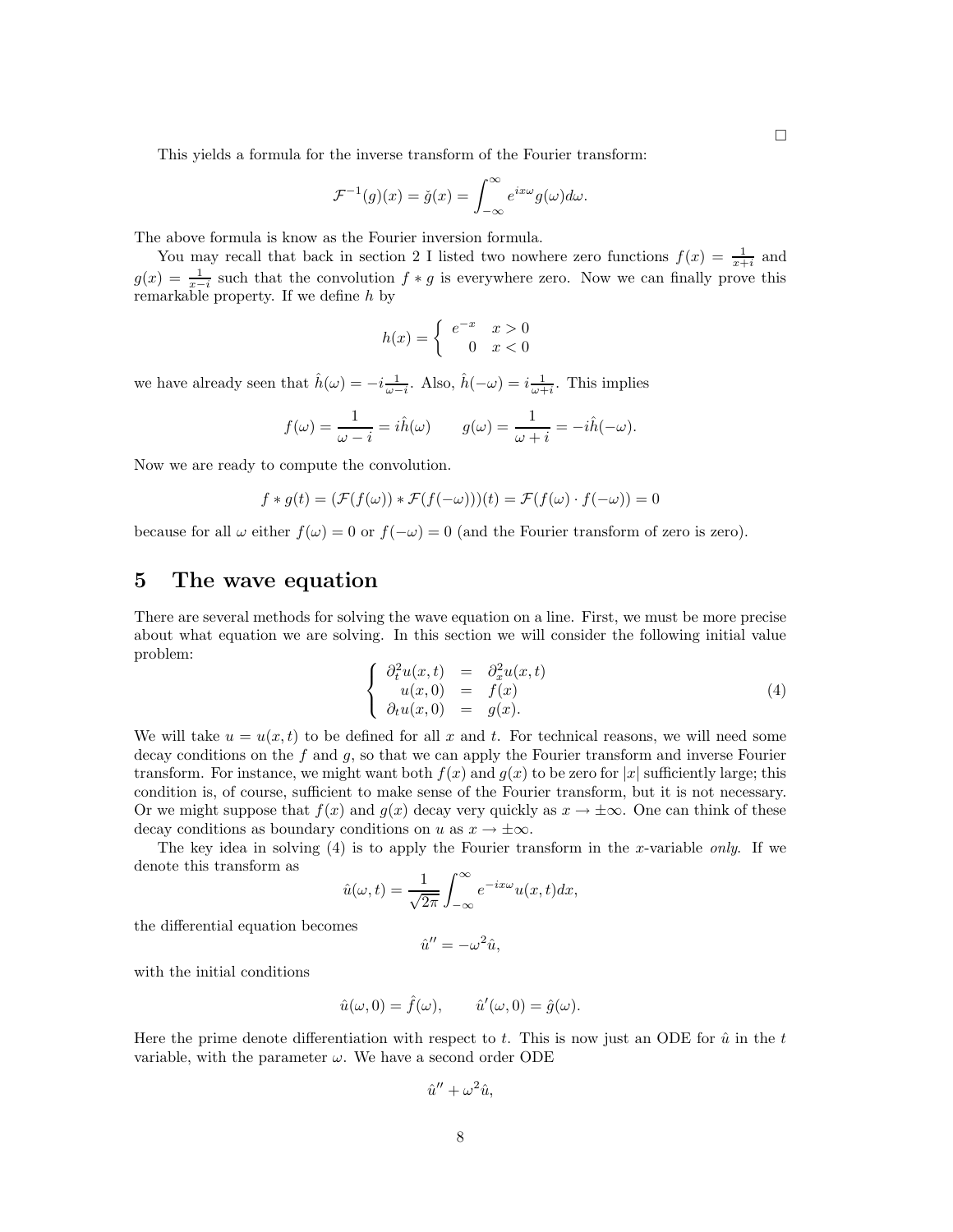This yields a formula for the inverse transform of the Fourier transform:

$$
\mathcal{F}^{-1}(g)(x) = \check{g}(x) = \int_{-\infty}^{\infty} e^{ix\omega} g(\omega) d\omega.
$$

The above formula is know as the Fourier inversion formula.

You may recall that back in section 2 I listed two nowhere zero functions  $f(x) = \frac{1}{x+i}$  and  $g(x) = \frac{1}{x-i}$  such that the convolution  $f * g$  is everywhere zero. Now we can finally prove this remarkable property. If we define h by

$$
h(x) = \begin{cases} e^{-x} & x > 0 \\ 0 & x < 0 \end{cases}
$$

we have already seen that  $\hat{h}(\omega) = -i \frac{1}{\omega - i}$ . Also,  $\hat{h}(-\omega) = i \frac{1}{\omega + i}$ . This implies

$$
f(\omega) = \frac{1}{\omega - i} = i\hat{h}(\omega) \qquad g(\omega) = \frac{1}{\omega + i} = -i\hat{h}(-\omega).
$$

Now we are ready to compute the convolution.

$$
f * g(t) = (\mathcal{F}(f(\omega)) * \mathcal{F}(f(-\omega)))(t) = \mathcal{F}(f(\omega) \cdot f(-\omega)) = 0
$$

because for all  $\omega$  either  $f(\omega) = 0$  or  $f(-\omega) = 0$  (and the Fourier transform of zero is zero).

### 5 The wave equation

There are several methods for solving the wave equation on a line. First, we must be more precise about what equation we are solving. In this section we will consider the following initial value problem:

$$
\begin{cases}\n\partial_t^2 u(x,t) &= \partial_x^2 u(x,t) \\
u(x,0) &= f(x) \\
\partial_t u(x,0) &= g(x).\n\end{cases}
$$
\n(4)

We will take  $u = u(x, t)$  to be defined for all x and t. For technical reasons, we will need some decay conditions on the f and q, so that we can apply the Fourier transform and inverse Fourier transform. For instance, we might want both  $f(x)$  and  $g(x)$  to be zero for |x| sufficiently large; this condition is, of course, sufficient to make sense of the Fourier transform, but it is not necessary. Or we might suppose that  $f(x)$  and  $g(x)$  decay very quickly as  $x \to \pm \infty$ . One can think of these decay conditions as boundary conditions on u as  $x \to \pm \infty$ .

The key idea in solving  $(4)$  is to apply the Fourier transform in the x-variable only. If we denote this transform as

$$
\hat{u}(\omega, t) = \frac{1}{\sqrt{2\pi}} \int_{-\infty}^{\infty} e^{-ix\omega} u(x, t) dx,
$$

the differential equation becomes

$$
\hat{u}^{\prime\prime}=-\omega^2\hat{u},
$$

with the initial conditions

$$
\hat{u}(\omega,0) = \hat{f}(\omega), \qquad \hat{u}'(\omega,0) = \hat{g}(\omega).
$$

Here the prime denote differentiation with respect to t. This is now just an ODE for  $\hat{u}$  in the t variable, with the parameter  $\omega$ . We have a second order ODE

$$
\hat{u}'' + \omega^2 \hat{u},
$$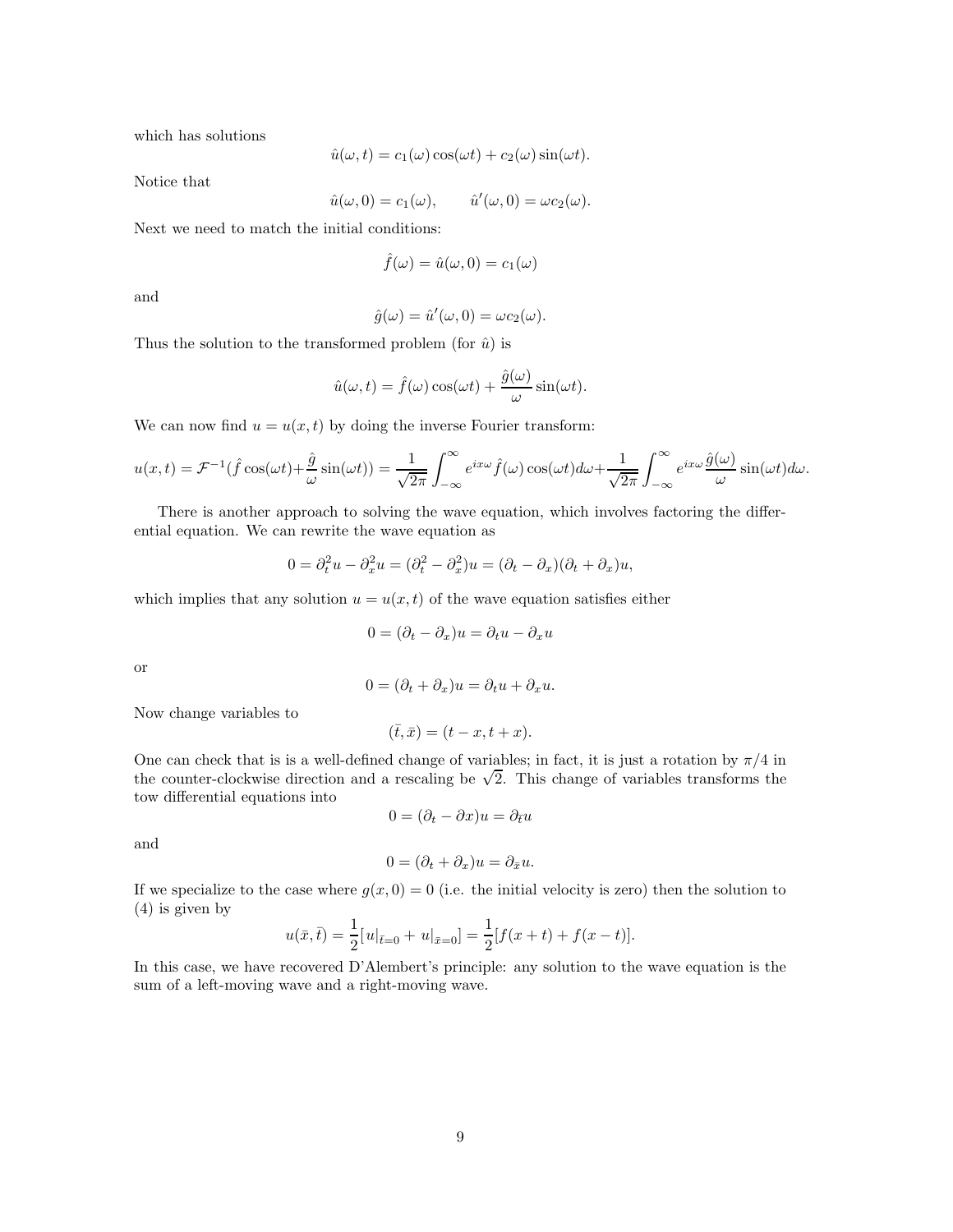which has solutions

$$
\hat{u}(\omega, t) = c_1(\omega)\cos(\omega t) + c_2(\omega)\sin(\omega t).
$$

Notice that

$$
\hat{u}(\omega,0)=c_1(\omega), \qquad \hat{u}'(\omega,0)=\omega c_2(\omega).
$$

Next we need to match the initial conditions:

$$
\hat{f}(\omega) = \hat{u}(\omega, 0) = c_1(\omega)
$$

and

$$
\hat{g}(\omega) = \hat{u}'(\omega, 0) = \omega c_2(\omega).
$$

Thus the solution to the transformed problem (for  $\hat{u}$ ) is

$$
\hat{u}(\omega, t) = \hat{f}(\omega)\cos(\omega t) + \frac{\hat{g}(\omega)}{\omega}\sin(\omega t).
$$

We can now find  $u = u(x, t)$  by doing the inverse Fourier transform:

$$
u(x,t) = \mathcal{F}^{-1}(\hat{f}\cos(\omega t) + \frac{\hat{g}}{\omega}\sin(\omega t)) = \frac{1}{\sqrt{2\pi}}\int_{-\infty}^{\infty} e^{ix\omega}\hat{f}(\omega)\cos(\omega t)d\omega + \frac{1}{\sqrt{2\pi}}\int_{-\infty}^{\infty} e^{ix\omega}\frac{\hat{g}(\omega)}{\omega}\sin(\omega t)d\omega.
$$

There is another approach to solving the wave equation, which involves factoring the differential equation. We can rewrite the wave equation as

$$
0 = \partial_t^2 u - \partial_x^2 u = (\partial_t^2 - \partial_x^2) u = (\partial_t - \partial_x)(\partial_t + \partial_x) u,
$$

which implies that any solution  $u = u(x, t)$  of the wave equation satisfies either

$$
0 = (\partial_t - \partial_x)u = \partial_t u - \partial_x u
$$

or

$$
0 = (\partial_t + \partial_x)u = \partial_t u + \partial_x u.
$$

Now change variables to

$$
(\bar{t},\bar{x})=(t-x,t+x).
$$

One can check that is is a well-defined change of variables; in fact, it is just a rotation by  $\pi/4$  in the counter-clockwise direction and a rescaling be  $\sqrt{2}$ . This change of variables transforms the tow differential equations into

 $0 = (\partial_t - \partial x)u = \partial_{\bar{t}}u$ 

and

$$
0 - (\partial_1 + \partial_2)u = \partial_2 u
$$

$$
0=(\partial_t+\partial_x)u=\partial_{\bar{x}}u.
$$

If we specialize to the case where  $g(x, 0) = 0$  (i.e. the initial velocity is zero) then the solution to (4) is given by

$$
u(\bar{x}, \bar{t}) = \frac{1}{2} [u|_{\bar{t}=0} + u|_{\bar{x}=0}] = \frac{1}{2} [f(x+t) + f(x-t)].
$$

In this case, we have recovered D'Alembert's principle: any solution to the wave equation is the sum of a left-moving wave and a right-moving wave.